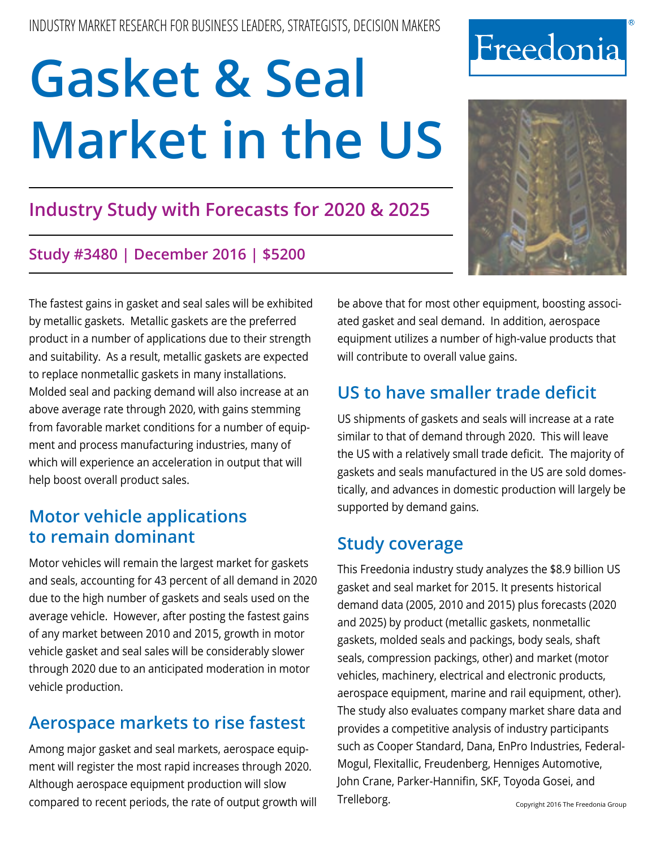# **Industry Study with Forecasts for 2020 & 2025**

## **Study #3480 | December 2016 | \$5200**

The fastest gains in gasket and seal sales will be exhibited by metallic gaskets. Metallic gaskets are the preferred product in a number of applications due to their strength and suitability. As a result, metallic gaskets are expected to replace nonmetallic gaskets in many installations. Molded seal and packing demand will also increase at an above average rate through 2020, with gains stemming from favorable market conditions for a number of equipment and process manufacturing industries, many of which will experience an acceleration in output that will help boost overall product sales.

# **Motor vehicle applications to remain dominant**

Motor vehicles will remain the largest market for gaskets and seals, accounting for 43 percent of all demand in 2020 due to the high number of gaskets and seals used on the average vehicle. However, after posting the fastest gains of any market between 2010 and 2015, growth in motor vehicle gasket and seal sales will be considerably slower through 2020 due to an anticipated moderation in motor vehicle production.

# **Aerospace markets to rise fastest**

Among major gasket and seal markets, aerospace equipment will register the most rapid increases through 2020. Although aerospace equipment production will slow compared to recent periods, the rate of output growth will be above that for most other equipment, boosting associated gasket and seal demand. In addition, aerospace equipment utilizes a number of high-value products that will contribute to overall value gains.

# **US to have smaller trade deficit**

US shipments of gaskets and seals will increase at a rate similar to that of demand through 2020. This will leave the US with a relatively small trade deficit. The majority of gaskets and seals manufactured in the US are sold domestically, and advances in domestic production will largely be supported by demand gains.

# **Study coverage**

This Freedonia industry study analyzes the \$8.9 billion US gasket and seal market for 2015. It presents historical demand data (2005, 2010 and 2015) plus forecasts (2020 and 2025) by product (metallic gaskets, nonmetallic gaskets, molded seals and packings, body seals, shaft seals, compression packings, other) and market (motor vehicles, machinery, electrical and electronic products, aerospace equipment, marine and rail equipment, other). The study also evaluates company market share data and provides a competitive analysis of industry participants such as Cooper Standard, Dana, EnPro Industries, Federal-Mogul, Flexitallic, Freudenberg, Henniges Automotive, John Crane, Parker-Hannifin, SKF, Toyoda Gosei, and Trelleborg. The Copyright 2016 The Freedonia Group



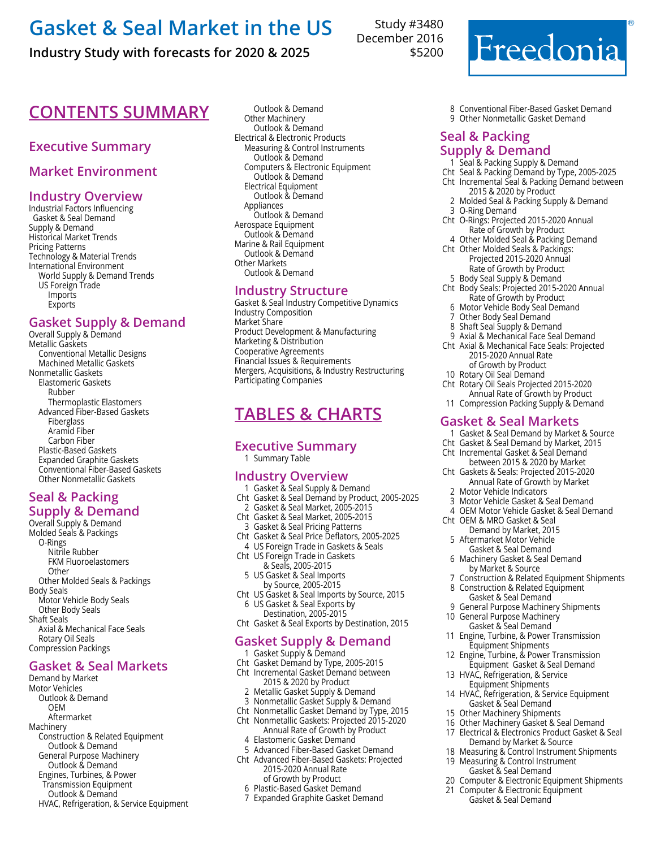## **Industry Study with forecasts for 2020 & 2025**

## **CONTENTS SUMMARY** Outlook & Demand

## **Executive Summary**

## **Market Environment**

## **Industry Overview**

Industrial Factors Influencing Gasket & Seal Demand Supply & Demand Historical Market Trends Pricing Patterns Technology & Material Trends International Environment World Supply & Demand Trends US Foreign Trade Imports **Exports** 

## **Gasket Supply & Demand**

Overall Supply & Demand Metallic Gaskets Conventional Metallic Designs Machined Metallic Gaskets Nonmetallic Gaskets Elastomeric Gaskets Rubber Thermoplastic Elastomers Advanced Fiber-Based Gaskets Fiberglass Aramid Fiber Carbon Fiber Plastic-Based Gaskets Expanded Graphite Gaskets Conventional Fiber-Based Gaskets Other Nonmetallic Gaskets

#### **Seal & Packing Supply & Demand**

Overall Supply & Demand Molded Seals & Packings O-Rings Nitrile Rubber FKM Fluoroelastomers **Other** Other Molded Seals & Packings Body Seals Motor Vehicle Body Seals Other Body Seals Shaft Seals Axial & Mechanical Face Seals Rotary Oil Seals Compression Packings

#### **Gasket & Seal Markets**

Demand by Market Motor Vehicles Outlook & Demand OEM Aftermarket Machinery Construction & Related Equipment Outlook & Demand General Purpose Machinery Outlook & Demand Engines, Turbines, & Power Transmission Equipment Outlook & Demand HVAC, Refrigeration, & Service Equipment

Other Machinery Outlook & Demand Electrical & Electronic Products Measuring & Control Instruments Outlook & Demand Computers & Electronic Equipment Outlook & Demand Electrical Equipment Outlook & Demand Appliances Outlook & Demand Aerospace Equipment Outlook & Demand Marine & Rail Equipment Outlook & Demand Other Markets Outlook & Demand

## **Industry Structure**

Gasket & Seal Industry Competitive Dynamics Industry Composition Market Share Product Development & Manufacturing Marketing & Distribution Cooperative Agreements Financial Issues & Requirements Mergers, Acquisitions, & Industry Restructuring Participating Companies

## **Tables & Charts**

#### **Executive Summary** 1 Summary Table

#### **Industry Overview**

- 1 Gasket & Seal Supply & Demand Cht Gasket & Seal Demand by Product, 2005-2025
- 2 Gasket & Seal Market, 2005-2015 Cht Gasket & Seal Market, 2005-2015
- 3 Gasket & Seal Pricing Patterns Cht Gasket & Seal Price Deflators, 2005-2025 4 US Foreign Trade in Gaskets & Seals
- Cht US Foreign Trade in Gaskets & Seals, 2005-2015
	- 5 US Gasket & Seal Imports by Source, 2005-2015
- Cht US Gasket & Seal Imports by Source, 2015 6 US Gasket & Seal Exports by
- Destination, 2005-2015 Cht Gasket & Seal Exports by Destination, 2015

## **Gasket Supply & Demand**

- 1 Gasket Supply & Demand
- Cht Gasket Demand by Type, 2005-2015
- Cht Incremental Gasket Demand between 2015 & 2020 by Product
- 2 Metallic Gasket Supply & Demand
- 3 Nonmetallic Gasket Supply & Demand
- Cht Nonmetallic Gasket Demand by Type, 2015
- Cht Nonmetallic Gaskets: Projected 2015-2020 Annual Rate of Growth by Product 4 Elastomeric Gasket Demand
- 5 Advanced Fiber-Based Gasket Demand
- Cht Advanced Fiber-Based Gaskets: Projected 2015-2020 Annual Rate
	- of Growth by Product 6 Plastic-Based Gasket Demand
	- 7 Expanded Graphite Gasket Demand

Study #3480 December 2016 \$5200



8 Conventional Fiber-Based Gasket Demand 9 Other Nonmetallic Gasket Demand

### **Seal & Packing Supply & Demand**

- 1 Seal & Packing Supply & Demand
- Cht Seal & Packing Demand by Type, 2005-2025 Cht Incremental Seal & Packing Demand between
- 2015 & 2020 by Product
	- 2 Molded Seal & Packing Supply & Demand 3 O-Ring Demand
- Cht O-Rings: Projected 2015-2020 Annual Rate of Growth by Product
- 4 Other Molded Seal & Packing Demand Cht Other Molded Seals & Packings: Projected 2015-2020 Annual
	- Rate of Growth by Product
- 5 Body Seal Supply & Demand
- Cht Body Seals: Projected 2015-2020 Annual Rate of Growth by Product
	- 6 Motor Vehicle Body Seal Demand
	- 7 Other Body Seal Demand
	- 8 Shaft Seal Supply & Demand
- 9 Axial & Mechanical Face Seal Demand Cht Axial & Mechanical Face Seals: Projected 2015-2020 Annual Rate
	- of Growth by Product
- 10 Rotary Oil Seal Demand
- Cht Rotary Oil Seals Projected 2015-2020 Annual Rate of Growth by Product
- 11 Compression Packing Supply & Demand

#### **Gasket & Seal Markets**

- 1 Gasket & Seal Demand by Market & Source
- Cht Gasket & Seal Demand by Market, 2015
- Cht Incremental Gasket & Seal Demand
- between 2015 & 2020 by Market<br>Cht Gaskets & Seals: Projected 2015-202 Gaskets & Seals: Projected 2015-2020 Annual Rate of Growth by Market
	- 2 Motor Vehicle Indicators
- 3 Motor Vehicle Gasket & Seal Demand
- 4 OEM Motor Vehicle Gasket & Seal Demand
- Cht OEM & MRO Gasket & Seal
	- Demand by Market, 2015
	- 5 Aftermarket Motor Vehicle Gasket & Seal Demand
	- 6 Machinery Gasket & Seal Demand by Market & Source
	- 7 Construction & Related Equipment Shipments 8 Construction & Related Equipment
	- Gasket & Seal Demand 9 General Purpose Machinery Shipments
- 10 General Purpose Machinery
	- Gasket & Seal Demand
- 11 Engine, Turbine, & Power Transmission Equipment Shipments
- 12 Engine, Turbine, & Power Transmission Equipment Gasket & Seal Demand
- 13 HVAC, Refrigeration, & Service Equipment Shipments
- 14 HVAC, Refrigeration, & Service Equipment Gasket & Seal Demand
- 15 Other Machinery Shipments
- 16 Other Machinery Gasket & Seal Demand 17 Electrical & Electronics Product Gasket & Seal
- Demand by Market & Source
- 18 Measuring & Control Instrument Shipments
- 19 Measuring & Control Instrument Gasket & Seal Demand
- 20 Computer & Electronic Equipment Shipments
- 21 Computer & Electronic Equipment Gasket & Seal Demand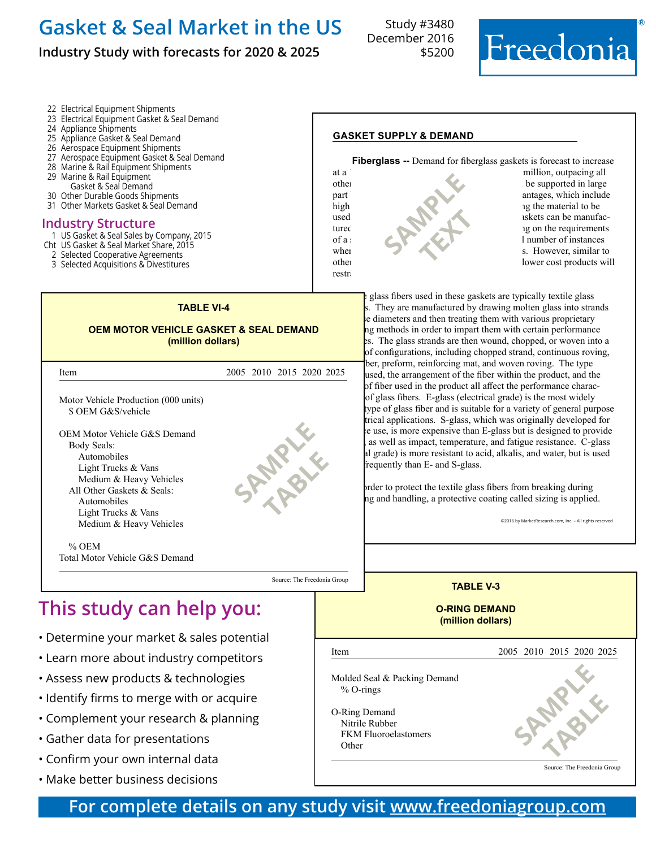## **Industry Study with forecasts for 2020 & 2025**

22 Electrical Equipment Shipments

25 Appliance Gasket & Seal Demand 26 Aerospace Equipment Shipments

24 Appliance Shipments

 Marine & Rail Equipment Gasket & Seal Demand Other Durable Goods Shipments Other Markets Gasket & Seal Demand

23 Electrical Equipment Gasket & Seal Demand

27 Aerospace Equipment Gasket & Seal Demand 28 Marine & Rail Equipment Shipments

Study #3480 December 2016 \$5200



#### **gasket supply & demand**

**Fiberglass --** Demand for fiberglass gaskets is forecast to increase at a 1.6 percent years at a 1.6 percent year at a 171 million, outpacing all other advanced fiber advanced fiber supported in large part by the material  $\mathbf{u}$  antages, which include high chemical and temperature resistance, enable resistance, enable resistance, enable resistance, enable resistance, enable resistance, enable resistance, enable resistance, en abling resistance, en abling resistance resi **SAMPLE TEXT** 



• Gather data for presentations

֦

- Confirm your own internal data
- Make better business decisions



# **For complete details on any study visit [www.freedoniagroup.com](http://www.freedoniagroup.com/)**